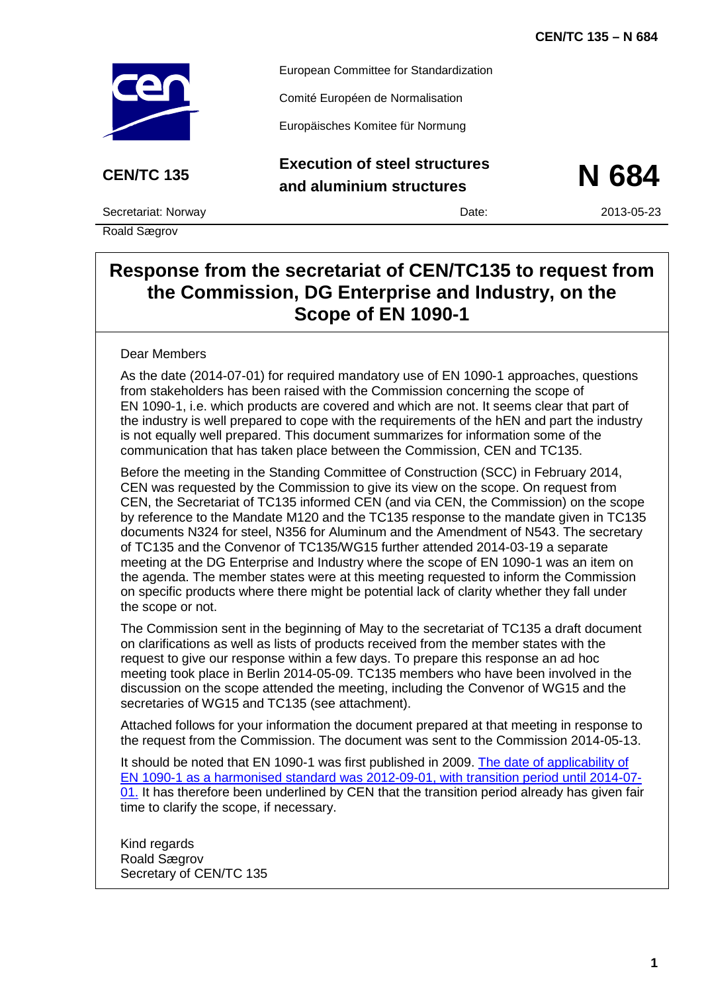

European Committee for Standardization

Comité Européen de Normalisation

Europäisches Komitee für Normung

## **CEN/TC 135 Execution of steel structures and aluminium structures N 684**



Secretariat: Norway Date: 2013-05-23

Roald Sægrov

## **Response from the secretariat of CEN/TC135 to request from the Commission, DG Enterprise and Industry, on the Scope of EN 1090-1**

### Dear Members

As the date (2014-07-01) for required mandatory use of EN 1090-1 approaches, questions from stakeholders has been raised with the Commission concerning the scope of EN 1090-1, i.e. which products are covered and which are not. It seems clear that part of the industry is well prepared to cope with the requirements of the hEN and part the industry is not equally well prepared. This document summarizes for information some of the communication that has taken place between the Commission, CEN and TC135.

Before the meeting in the Standing Committee of Construction (SCC) in February 2014, CEN was requested by the Commission to give its view on the scope. On request from CEN, the Secretariat of TC135 informed CEN (and via CEN, the Commission) on the scope by reference to the Mandate M120 and the TC135 response to the mandate given in TC135 documents N324 for steel, N356 for Aluminum and the Amendment of N543. The secretary of TC135 and the Convenor of TC135/WG15 further attended 2014-03-19 a separate meeting at the DG Enterprise and Industry where the scope of EN 1090-1 was an item on the agenda. The member states were at this meeting requested to inform the Commission on specific products where there might be potential lack of clarity whether they fall under the scope or not.

The Commission sent in the beginning of May to the secretariat of TC135 a draft document on clarifications as well as lists of products received from the member states with the request to give our response within a few days. To prepare this response an ad hoc meeting took place in Berlin 2014-05-09. TC135 members who have been involved in the discussion on the scope attended the meeting, including the Convenor of WG15 and the secretaries of WG15 and TC135 (see attachment).

Attached follows for your information the document prepared at that meeting in response to the request from the Commission. The document was sent to the Commission 2014-05-13.

It should be noted that EN 1090-1 was first published in 2009. [The date of applicability of](http://ec.europa.eu/enterprise/policies/european-standards/harmonised-standards/construction-products/index_en.htm)  EN 1090-1 as a harmonised standard was [2012-09-01, with transition period until 2014-07-](http://ec.europa.eu/enterprise/policies/european-standards/harmonised-standards/construction-products/index_en.htm) [01.](http://ec.europa.eu/enterprise/policies/european-standards/harmonised-standards/construction-products/index_en.htm) It has therefore been underlined by CEN that the transition period already has given fair time to clarify the scope, if necessary.

Kind regards Roald Sægrov Secretary of CEN/TC 135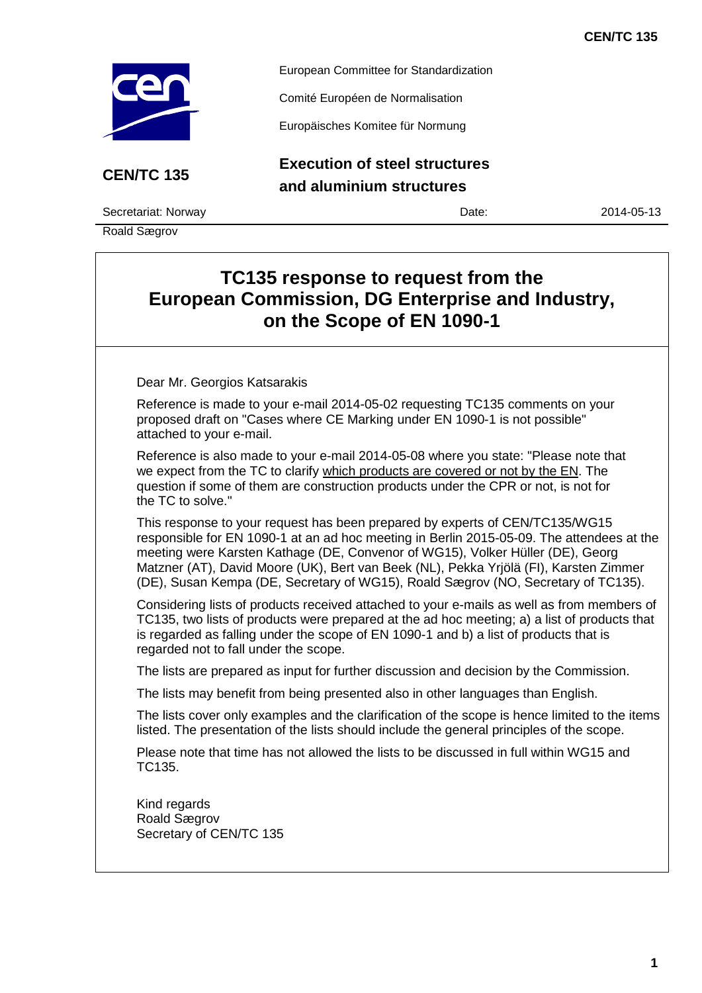

European Committee for Standardization

Comité Européen de Normalisation

Europäisches Komitee für Normung

**CEN/TC 135 Execution of steel structures and aluminium structures**

Secretariat: Norway Date: 2014-05-13

Roald Sægrov

# **TC135 response to request from the European Commission, DG Enterprise and Industry, on the Scope of EN 1090-1**

Dear Mr. Georgios Katsarakis

Reference is made to your e-mail 2014-05-02 requesting TC135 comments on your proposed draft on "Cases where CE Marking under EN 1090-1 is not possible" attached to your e-mail.

Reference is also made to your e-mail 2014-05-08 where you state: "Please note that we expect from the TC to clarify which products are covered or not by the EN. The question if some of them are construction products under the CPR or not, is not for the TC to solve."

This response to your request has been prepared by experts of CEN/TC135/WG15 responsible for EN 1090-1 at an ad hoc meeting in Berlin 2015-05-09. The attendees at the meeting were Karsten Kathage (DE, Convenor of WG15), Volker Hüller (DE), Georg Matzner (AT), David Moore (UK), Bert van Beek (NL), Pekka Yrjölä (FI), Karsten Zimmer (DE), Susan Kempa (DE, Secretary of WG15), Roald Sægrov (NO, Secretary of TC135).

Considering lists of products received attached to your e-mails as well as from members of TC135, two lists of products were prepared at the ad hoc meeting; a) a list of products that is regarded as falling under the scope of EN 1090-1 and b) a list of products that is regarded not to fall under the scope.

The lists are prepared as input for further discussion and decision by the Commission.

The lists may benefit from being presented also in other languages than English.

The lists cover only examples and the clarification of the scope is hence limited to the items listed. The presentation of the lists should include the general principles of the scope.

Please note that time has not allowed the lists to be discussed in full within WG15 and TC135.

Kind regards Roald Sægrov Secretary of CEN/TC 135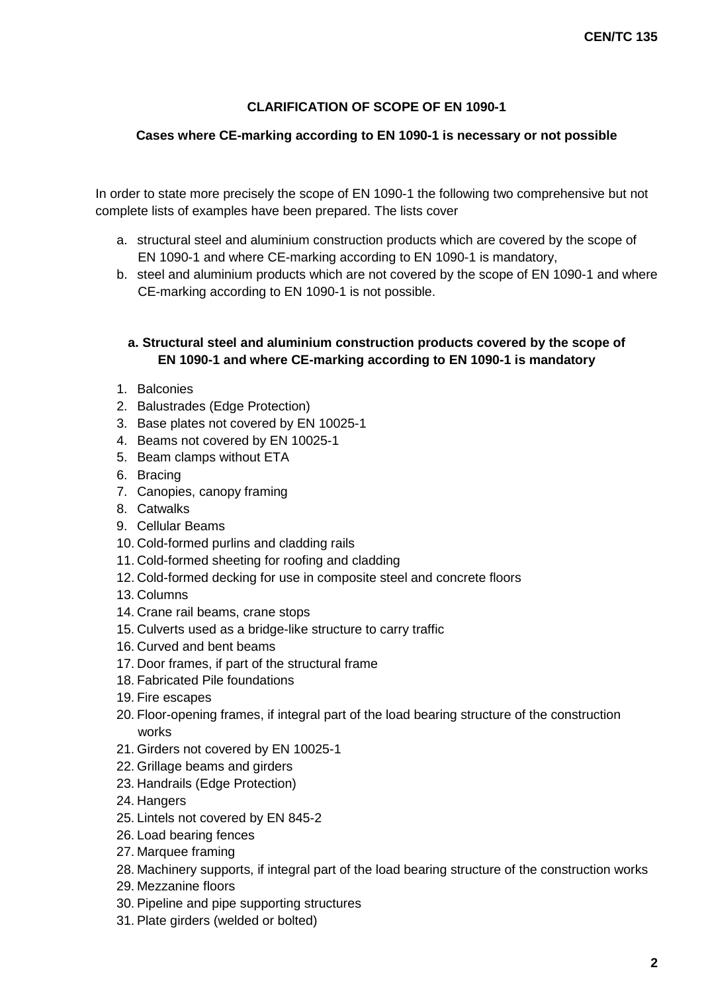## **CLARIFICATION OF SCOPE OF EN 1090-1**

### **Cases where CE-marking according to EN 1090-1 is necessary or not possible**

In order to state more precisely the scope of EN 1090-1 the following two comprehensive but not complete lists of examples have been prepared. The lists cover

- a. structural steel and aluminium construction products which are covered by the scope of EN 1090-1 and where CE-marking according to EN 1090-1 is mandatory,
- b. steel and aluminium products which are not covered by the scope of EN 1090-1 and where CE-marking according to EN 1090-1 is not possible.

## **a. Structural steel and aluminium construction products covered by the scope of EN 1090-1 and where CE-marking according to EN 1090-1 is mandatory**

- 1. Balconies
- 2. Balustrades (Edge Protection)
- 3. Base plates not covered by EN 10025-1
- 4. Beams not covered by EN 10025-1
- 5. Beam clamps without ETA
- 6. Bracing
- 7. Canopies, canopy framing
- 8. Catwalks
- 9. Cellular Beams
- 10. Cold-formed purlins and cladding rails
- 11. Cold-formed sheeting for roofing and cladding
- 12. Cold-formed decking for use in composite steel and concrete floors
- 13. Columns
- 14. Crane rail beams, crane stops
- 15. Culverts used as a bridge-like structure to carry traffic
- 16. Curved and bent beams
- 17. Door frames, if part of the structural frame
- 18. Fabricated Pile foundations
- 19. Fire escapes
- 20. Floor-opening frames, if integral part of the load bearing structure of the construction works
- 21. Girders not covered by EN 10025-1
- 22. Grillage beams and girders
- 23. Handrails (Edge Protection)
- 24. Hangers
- 25. Lintels not covered by EN 845-2
- 26. Load bearing fences
- 27. Marquee framing
- 28. Machinery supports, if integral part of the load bearing structure of the construction works
- 29. Mezzanine floors
- 30. Pipeline and pipe supporting structures
- 31. Plate girders (welded or bolted)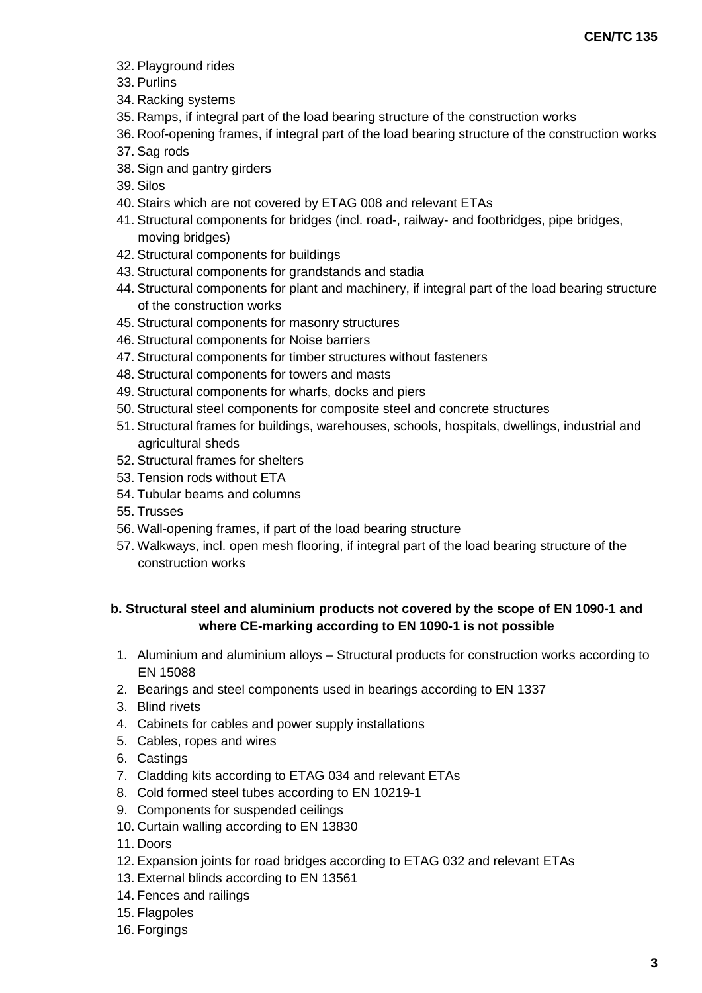- 32. Playground rides
- 33. Purlins
- 34. Racking systems
- 35. Ramps, if integral part of the load bearing structure of the construction works
- 36. Roof-opening frames, if integral part of the load bearing structure of the construction works
- 37. Sag rods
- 38. Sign and gantry girders
- 39. Silos
- 40. Stairs which are not covered by ETAG 008 and relevant ETAs
- 41. Structural components for bridges (incl. road-, railway- and footbridges, pipe bridges, moving bridges)
- 42. Structural components for buildings
- 43. Structural components for grandstands and stadia
- 44. Structural components for plant and machinery, if integral part of the load bearing structure of the construction works
- 45. Structural components for masonry structures
- 46. Structural components for Noise barriers
- 47. Structural components for timber structures without fasteners
- 48. Structural components for towers and masts
- 49. Structural components for wharfs, docks and piers
- 50. Structural steel components for composite steel and concrete structures
- 51. Structural frames for buildings, warehouses, schools, hospitals, dwellings, industrial and agricultural sheds
- 52. Structural frames for shelters
- 53. Tension rods without ETA
- 54. Tubular beams and columns
- 55. Trusses
- 56. Wall-opening frames, if part of the load bearing structure
- 57. Walkways, incl. open mesh flooring, if integral part of the load bearing structure of the construction works

## **b. Structural steel and aluminium products not covered by the scope of EN 1090-1 and where CE-marking according to EN 1090-1 is not possible**

- 1. Aluminium and aluminium alloys Structural products for construction works according to EN 15088
- 2. Bearings and steel components used in bearings according to EN 1337
- 3. Blind rivets
- 4. Cabinets for cables and power supply installations
- 5. Cables, ropes and wires
- 6. Castings
- 7. Cladding kits according to ETAG 034 and relevant ETAs
- 8. Cold formed steel tubes according to EN 10219-1
- 9. Components for suspended ceilings
- 10. Curtain walling according to EN 13830
- 11. Doors
- 12. Expansion joints for road bridges according to ETAG 032 and relevant ETAs
- 13. External blinds according to EN 13561
- 14. Fences and railings
- 15. Flagpoles
- 16. Forgings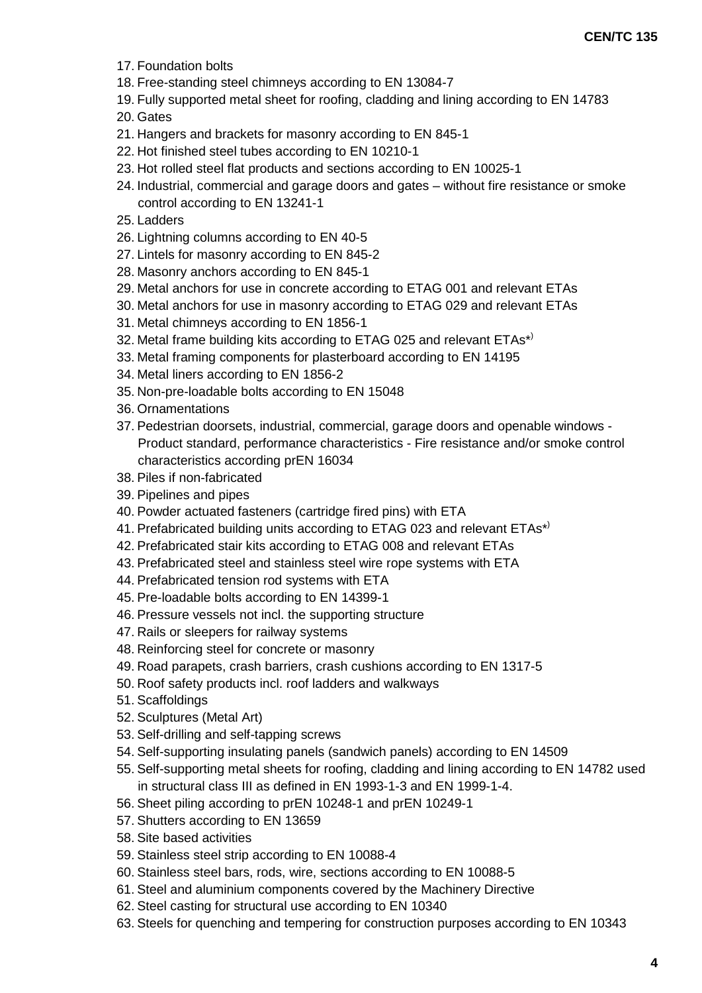- 17. Foundation bolts
- 18. Free-standing steel chimneys according to EN 13084-7
- 19. Fully supported metal sheet for roofing, cladding and lining according to EN 14783
- 20. Gates
- 21. Hangers and brackets for masonry according to EN 845-1
- 22. Hot finished steel tubes according to EN 10210-1
- 23. Hot rolled steel flat products and sections according to EN 10025-1
- 24. Industrial, commercial and garage doors and gates without fire resistance or smoke control according to EN 13241-1
- 25. Ladders
- 26. Lightning columns according to EN 40-5
- 27. Lintels for masonry according to EN 845-2
- 28. Masonry anchors according to EN 845-1
- 29. Metal anchors for use in concrete according to ETAG 001 and relevant ETAs
- 30. Metal anchors for use in masonry according to ETAG 029 and relevant ETAs
- 31. Metal chimneys according to EN 1856-1
- 32. Metal frame building kits according to ETAG 025 and relevant ETAs\*)
- 33. Metal framing components for plasterboard according to EN 14195
- 34. Metal liners according to EN 1856-2
- 35. Non-pre-loadable bolts according to EN 15048
- 36. Ornamentations
- 37. Pedestrian doorsets, industrial, commercial, garage doors and openable windows Product standard, performance characteristics - Fire resistance and/or smoke control characteristics according prEN 16034
- 38. Piles if non-fabricated
- 39. Pipelines and pipes
- 40. Powder actuated fasteners (cartridge fired pins) with ETA
- 41. Prefabricated building units according to ETAG 023 and relevant ETAs\*)
- 42. Prefabricated stair kits according to ETAG 008 and relevant ETAs
- 43. Prefabricated steel and stainless steel wire rope systems with ETA
- 44. Prefabricated tension rod systems with ETA
- 45. Pre-loadable bolts according to EN 14399-1
- 46. Pressure vessels not incl. the supporting structure
- 47. Rails or sleepers for railway systems
- 48. Reinforcing steel for concrete or masonry
- 49. Road parapets, crash barriers, crash cushions according to EN 1317-5
- 50. Roof safety products incl. roof ladders and walkways
- 51. Scaffoldings
- 52. Sculptures (Metal Art)
- 53. Self-drilling and self-tapping screws
- 54. Self-supporting insulating panels (sandwich panels) according to EN 14509
- 55. Self-supporting metal sheets for roofing, cladding and lining according to EN 14782 used in structural class III as defined in EN 1993-1-3 and EN 1999-1-4.
- 56. Sheet piling according to prEN 10248-1 and prEN 10249-1
- 57. Shutters according to EN 13659
- 58. Site based activities
- 59. Stainless steel strip according to EN 10088-4
- 60. Stainless steel bars, rods, wire, sections according to EN 10088-5
- 61. Steel and aluminium components covered by the Machinery Directive
- 62. Steel casting for structural use according to EN 10340
- 63. Steels for quenching and tempering for construction purposes according to EN 10343